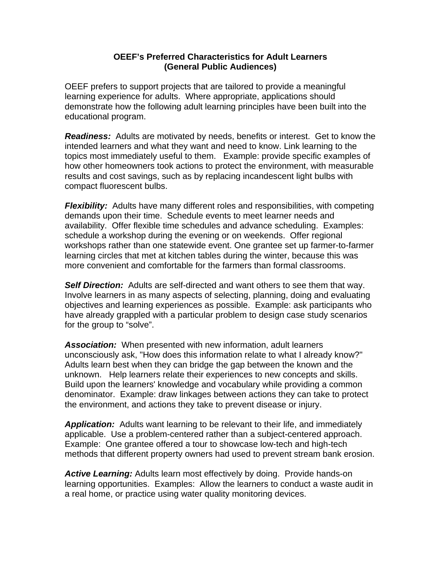## **OEEF's Preferred Characteristics for Adult Learners (General Public Audiences)**

OEEF prefers to support projects that are tailored to provide a meaningful learning experience for adults. Where appropriate, applications should demonstrate how the following adult learning principles have been built into the educational program.

*Readiness:* Adults are motivated by needs, benefits or interest. Get to know the intended learners and what they want and need to know. Link learning to the topics most immediately useful to them. Example: provide specific examples of how other homeowners took actions to protect the environment, with measurable results and cost savings, such as by replacing incandescent light bulbs with compact fluorescent bulbs.

*Flexibility:* Adults have many different roles and responsibilities, with competing demands upon their time. Schedule events to meet learner needs and availability. Offer flexible time schedules and advance scheduling. Examples: schedule a workshop during the evening or on weekends. Offer regional workshops rather than one statewide event. One grantee set up farmer-to-farmer learning circles that met at kitchen tables during the winter, because this was more convenient and comfortable for the farmers than formal classrooms.

**Self Direction:** Adults are self-directed and want others to see them that way. Involve learners in as many aspects of selecting, planning, doing and evaluating objectives and learning experiences as possible. Example: ask participants who have already grappled with a particular problem to design case study scenarios for the group to "solve".

*Association:* When presented with new information, adult learners unconsciously ask, "How does this information relate to what I already know?" Adults learn best when they can bridge the gap between the known and the unknown. Help learners relate their experiences to new concepts and skills. Build upon the learners' knowledge and vocabulary while providing a common denominator. Example: draw linkages between actions they can take to protect the environment, and actions they take to prevent disease or injury.

*Application:* Adults want learning to be relevant to their life, and immediately applicable. Use a problem-centered rather than a subject-centered approach. Example: One grantee offered a tour to showcase low-tech and high-tech methods that different property owners had used to prevent stream bank erosion.

*Active Learning:* Adults learn most effectively by doing. Provide hands-on learning opportunities. Examples: Allow the learners to conduct a waste audit in a real home, or practice using water quality monitoring devices.